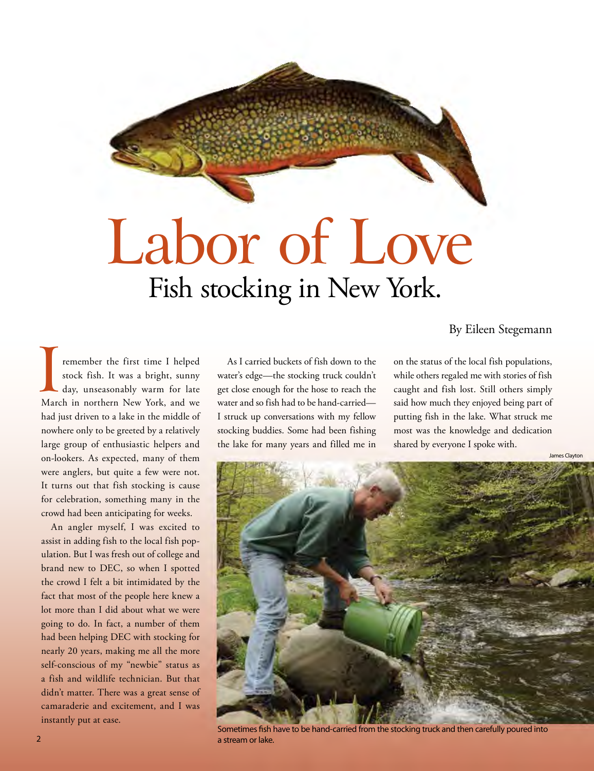## Labor of Love Fish stocking in New York.

The first time I helped<br>stock fish. It was a bright, sunny<br>day, unseasonably warm for late<br>March in northern New York, and we remember the first time I helped stock fish. It was a bright, sunny day, unseasonably warm for late had just driven to a lake in the middle of nowhere only to be greeted by a relatively large group of enthusiastic helpers and on-lookers. As expected, many of them were anglers, but quite a few were not. It turns out that fish stocking is cause for celebration, something many in the crowd had been anticipating for weeks.

An angler myself, I was excited to assist in adding fish to the local fish population. But I was fresh out of college and brand new to DEC, so when I spotted the crowd I felt a bit intimidated by the fact that most of the people here knew a lot more than I did about what we were going to do. In fact, a number of them had been helping DEC with stocking for nearly 20 years, making me all the more self-conscious of my "newbie" status as a fish and wildlife technician. But that didn't matter. There was a great sense of camaraderie and excitement, and I was instantly put at ease.

As I carried buckets of fish down to the water's edge—the stocking truck couldn't get close enough for the hose to reach the water and so fish had to be hand-carried— I struck up conversations with my fellow stocking buddies. Some had been fishing the lake for many years and filled me in

By Eileen Stegemann

on the status of the local fish populations, while others regaled me with stories of fish caught and fish lost. Still others simply said how much they enjoyed being part of putting fish in the lake. What struck me most was the knowledge and dedication shared by everyone I spoke with.



Sometimes fsh have to be hand-carried from the stocking truck and then carefully poured into **2 a** stream or lake.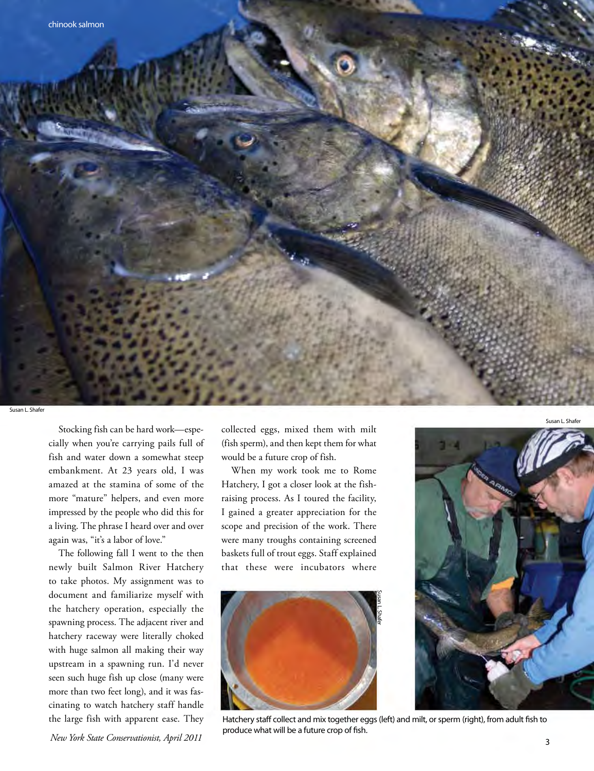

Susan L. Shaf

 cially when you're carrying pails full of Stocking fish can be hard work—espefish and water down a somewhat steep embankment. At 23 years old, I was amazed at the stamina of some of the more "mature" helpers, and even more impressed by the people who did this for a living. The phrase I heard over and over again was, "it's a labor of love."

 with huge salmon all making their way the large fish with apparent ease. They The following fall I went to the then newly built Salmon River Hatchery to take photos. My assignment was to document and familiarize myself with the hatchery operation, especially the spawning process. The adjacent river and hatchery raceway were literally choked upstream in a spawning run. I'd never seen such huge fish up close (many were more than two feet long), and it was fascinating to watch hatchery staff handle

 *New York State Conservationist, April 2011* 

collected eggs, mixed them with milt (fish sperm), and then kept them for what would be a future crop of fish.

When my work took me to Rome Hatchery, I got a closer look at the fishraising process. As I toured the facility, I gained a greater appreciation for the scope and precision of the work. There were many troughs containing screened baskets full of trout eggs. Staff explained that these were incubators where



Hatchery staff collect and mix together eggs (left) and milt, or sperm (right), from adult fish to produce what will be a future crop of fsh.

Susan L. Shafer

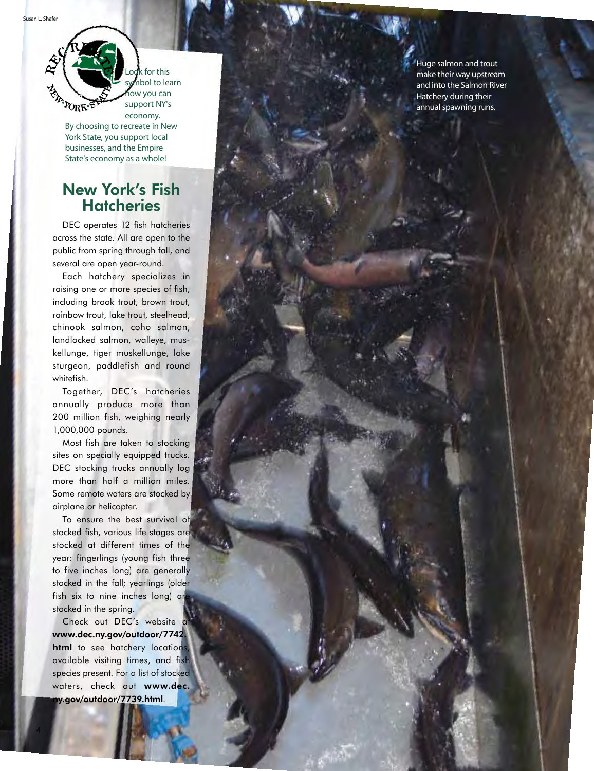**EN PORK∙ST** 

economy.

By choosing to recreate in New York State, you support local businesses, and the Empire State's economy as a whole!

#### New York's Fish **Hatcheries**

DEC operates 12 fish hatcheries across the state. All are open to the public from spring through fall, and several are open year-round.

 chinook salmon, coho salmon, sturgeon, paddlefish and round Each hatchery specializes in raising one or more species of fish, including brook trout, brown trout, rainbow trout, lake trout, steelhead, landlocked salmon, walleye, mus kellunge, tiger muskellunge, lake whitefish.

Together, DEC's hatcheries annually produce more than 200 million fish, weighing nearly 1,000,000 pounds.

 Most fish are taken to stocking sites on specially equipped trucks. DEC stocking trucks annually log more than half a million miles. Some remote waters are stocked by airplane or helicopter.

To ensure the best survival of stocked fish, various life stages are stocked at different times of the year: fingerlings (young fish three to five inches long) are generally stocked in the fall; yearlings (older fish six to nine inches long) are stocked in the spring.

Check out DEC's website <www.dec.ny.gov/outdoor/7742>. html to see hatchery locations available visiting times, and fish species present. For a list of stocked waters, check out www.dec. [ny.gov/outdoor/7739.html](https://ny.gov/outdoor/7739.html).

4

Huge salmon and trout<br>Look for this make their way upstream and into the Salmon River<br>symbol to learn and into the Salmon River in the move you can how you can hatchery during their the support NY's the support NY's annual spawning runs.